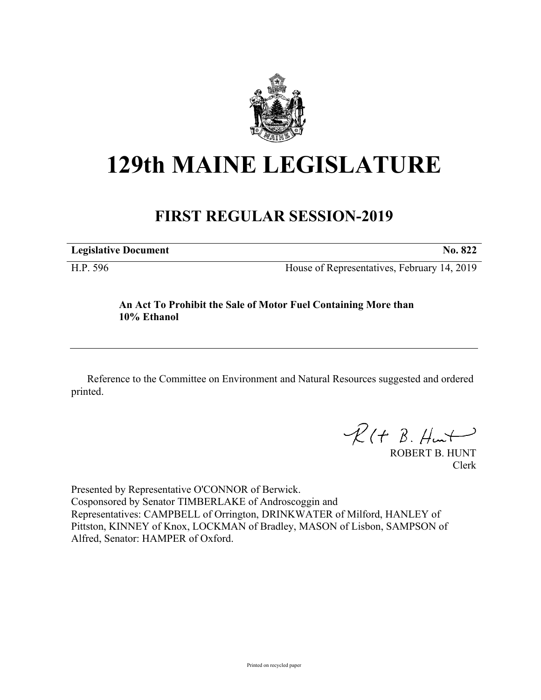

## **129th MAINE LEGISLATURE**

## **FIRST REGULAR SESSION-2019**

**Legislative Document No. 822**

H.P. 596 House of Representatives, February 14, 2019

## **An Act To Prohibit the Sale of Motor Fuel Containing More than 10% Ethanol**

Reference to the Committee on Environment and Natural Resources suggested and ordered printed.

 $R(H B. H<sub>un</sub>+)$ 

ROBERT B. HUNT Clerk

Presented by Representative O'CONNOR of Berwick. Cosponsored by Senator TIMBERLAKE of Androscoggin and Representatives: CAMPBELL of Orrington, DRINKWATER of Milford, HANLEY of Pittston, KINNEY of Knox, LOCKMAN of Bradley, MASON of Lisbon, SAMPSON of Alfred, Senator: HAMPER of Oxford.